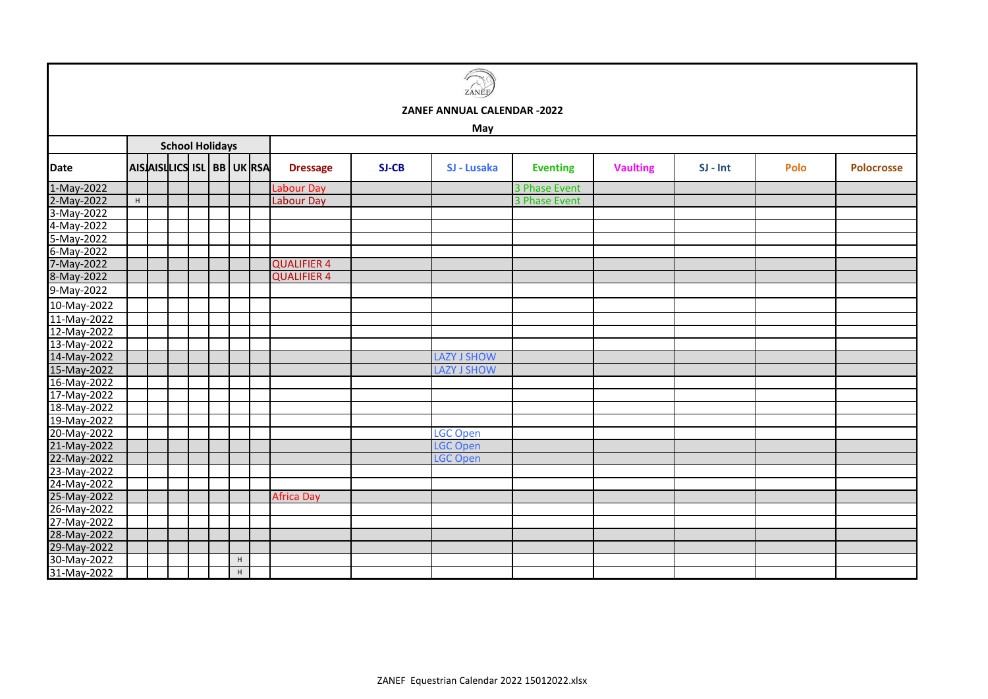## **May**

|             |   |  | <b>School Holidays</b>    |   |                    |       | <b>.</b>           |                 |                 |            |      |                   |
|-------------|---|--|---------------------------|---|--------------------|-------|--------------------|-----------------|-----------------|------------|------|-------------------|
| Date        |   |  | AIS AIS QUE ISL BB UK RSA |   | <b>Dressage</b>    | SJ-CB | SJ - Lusaka        | <b>Eventing</b> | <b>Vaulting</b> | $SI - Int$ | Polo | <b>Polocrosse</b> |
| 1-May-2022  |   |  |                           |   | <b>Labour Day</b>  |       |                    | 3 Phase Event   |                 |            |      |                   |
| 2-May-2022  | H |  |                           |   | Labour Day         |       |                    | 3 Phase Event   |                 |            |      |                   |
| 3-May-2022  |   |  |                           |   |                    |       |                    |                 |                 |            |      |                   |
| 4-May-2022  |   |  |                           |   |                    |       |                    |                 |                 |            |      |                   |
| 5-May-2022  |   |  |                           |   |                    |       |                    |                 |                 |            |      |                   |
| 6-May-2022  |   |  |                           |   |                    |       |                    |                 |                 |            |      |                   |
| 7-May-2022  |   |  |                           |   | <b>QUALIFIER 4</b> |       |                    |                 |                 |            |      |                   |
| 8-May-2022  |   |  |                           |   | <b>QUALIFIER 4</b> |       |                    |                 |                 |            |      |                   |
| 9-May-2022  |   |  |                           |   |                    |       |                    |                 |                 |            |      |                   |
| 10-May-2022 |   |  |                           |   |                    |       |                    |                 |                 |            |      |                   |
| 11-May-2022 |   |  |                           |   |                    |       |                    |                 |                 |            |      |                   |
| 12-May-2022 |   |  |                           |   |                    |       |                    |                 |                 |            |      |                   |
| 13-May-2022 |   |  |                           |   |                    |       |                    |                 |                 |            |      |                   |
| 14-May-2022 |   |  |                           |   |                    |       | LAZY J SHOW        |                 |                 |            |      |                   |
| 15-May-2022 |   |  |                           |   |                    |       | <b>LAZY J SHOW</b> |                 |                 |            |      |                   |
| 16-May-2022 |   |  |                           |   |                    |       |                    |                 |                 |            |      |                   |
| 17-May-2022 |   |  |                           |   |                    |       |                    |                 |                 |            |      |                   |
| 18-May-2022 |   |  |                           |   |                    |       |                    |                 |                 |            |      |                   |
| 19-May-2022 |   |  |                           |   |                    |       |                    |                 |                 |            |      |                   |
| 20-May-2022 |   |  |                           |   |                    |       | LGC Open           |                 |                 |            |      |                   |
| 21-May-2022 |   |  |                           |   |                    |       | <b>LGC Open</b>    |                 |                 |            |      |                   |
| 22-May-2022 |   |  |                           |   |                    |       | <b>LGC Open</b>    |                 |                 |            |      |                   |
| 23-May-2022 |   |  |                           |   |                    |       |                    |                 |                 |            |      |                   |
| 24-May-2022 |   |  |                           |   |                    |       |                    |                 |                 |            |      |                   |
| 25-May-2022 |   |  |                           |   | Africa Day         |       |                    |                 |                 |            |      |                   |
| 26-May-2022 |   |  |                           |   |                    |       |                    |                 |                 |            |      |                   |
| 27-May-2022 |   |  |                           |   |                    |       |                    |                 |                 |            |      |                   |
| 28-May-2022 |   |  |                           |   |                    |       |                    |                 |                 |            |      |                   |
| 29-May-2022 |   |  |                           |   |                    |       |                    |                 |                 |            |      |                   |
| 30-May-2022 |   |  |                           | H |                    |       |                    |                 |                 |            |      |                   |
| 31-May-2022 |   |  |                           | H |                    |       |                    |                 |                 |            |      |                   |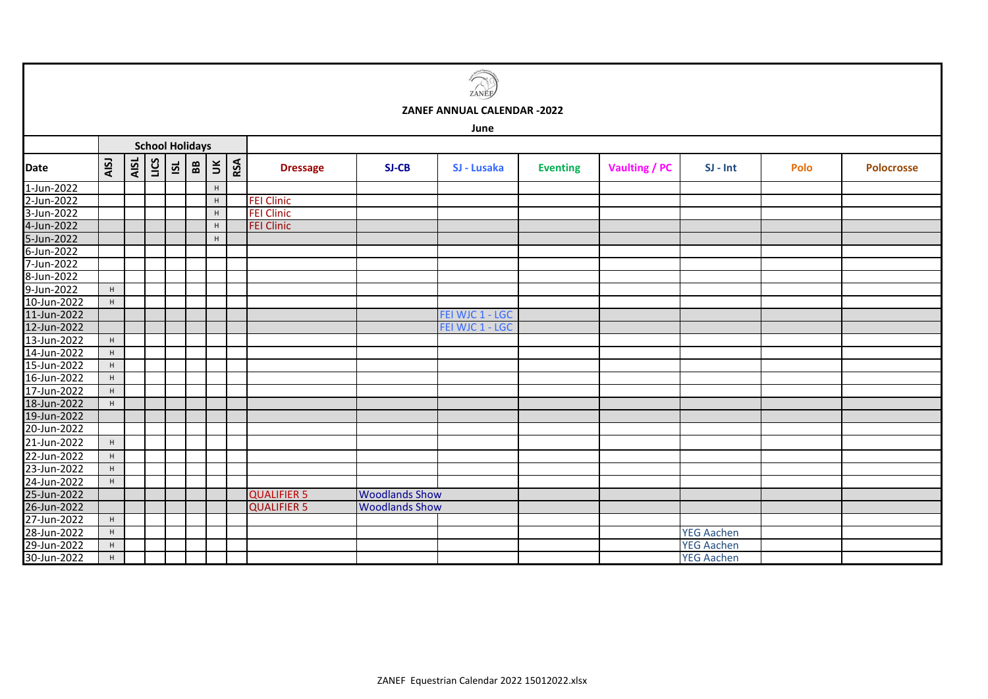|             | ZANÉ        |      |      |                        |                   |                      |     |                    |                       |                             |                 |               |                   |      |                   |
|-------------|-------------|------|------|------------------------|-------------------|----------------------|-----|--------------------|-----------------------|-----------------------------|-----------------|---------------|-------------------|------|-------------------|
|             |             |      |      |                        |                   |                      |     |                    |                       | ZANEF ANNUAL CALENDAR -2022 |                 |               |                   |      |                   |
|             |             |      |      |                        |                   |                      |     |                    |                       | June                        |                 |               |                   |      |                   |
|             |             |      |      | <b>School Holidays</b> |                   |                      |     |                    |                       |                             |                 |               |                   |      |                   |
| <b>Date</b> | AISJ        | AISL | LICS | $\overline{S}$         | ${\bf B} {\bf B}$ | $\check{\mathbf{s}}$ | RSA | <b>Dressage</b>    | SJ-CB                 | SJ - Lusaka                 | <b>Eventing</b> | Vaulting / PC | $SI - Int$        | Polo | <b>Polocrosse</b> |
| 1-Jun-2022  |             |      |      |                        |                   | H                    |     |                    |                       |                             |                 |               |                   |      |                   |
| 2-Jun-2022  |             |      |      |                        |                   | $\mathsf H$          |     | <b>FEI Clinic</b>  |                       |                             |                 |               |                   |      |                   |
| 3-Jun-2022  |             |      |      |                        |                   | H                    |     | <b>FEI Clinic</b>  |                       |                             |                 |               |                   |      |                   |
| 4-Jun-2022  |             |      |      |                        |                   | H                    |     | <b>FEI Clinic</b>  |                       |                             |                 |               |                   |      |                   |
| 5-Jun-2022  |             |      |      |                        |                   | H                    |     |                    |                       |                             |                 |               |                   |      |                   |
| 6-Jun-2022  |             |      |      |                        |                   |                      |     |                    |                       |                             |                 |               |                   |      |                   |
| 7-Jun-2022  |             |      |      |                        |                   |                      |     |                    |                       |                             |                 |               |                   |      |                   |
| 8-Jun-2022  |             |      |      |                        |                   |                      |     |                    |                       |                             |                 |               |                   |      |                   |
| 9-Jun-2022  | H           |      |      |                        |                   |                      |     |                    |                       |                             |                 |               |                   |      |                   |
| 10-Jun-2022 | H           |      |      |                        |                   |                      |     |                    |                       |                             |                 |               |                   |      |                   |
| 11-Jun-2022 |             |      |      |                        |                   |                      |     |                    |                       | FEI WJC 1 - LGC             |                 |               |                   |      |                   |
| 12-Jun-2022 |             |      |      |                        |                   |                      |     |                    |                       | FEI WJC 1 - LGC             |                 |               |                   |      |                   |
| 13-Jun-2022 | $\mathsf H$ |      |      |                        |                   |                      |     |                    |                       |                             |                 |               |                   |      |                   |
| 14-Jun-2022 | $\mathsf H$ |      |      |                        |                   |                      |     |                    |                       |                             |                 |               |                   |      |                   |
| 15-Jun-2022 | $\mathsf H$ |      |      |                        |                   |                      |     |                    |                       |                             |                 |               |                   |      |                   |
| 16-Jun-2022 | H           |      |      |                        |                   |                      |     |                    |                       |                             |                 |               |                   |      |                   |
| 17-Jun-2022 | $\mathsf H$ |      |      |                        |                   |                      |     |                    |                       |                             |                 |               |                   |      |                   |
| 18-Jun-2022 | H           |      |      |                        |                   |                      |     |                    |                       |                             |                 |               |                   |      |                   |
| 19-Jun-2022 |             |      |      |                        |                   |                      |     |                    |                       |                             |                 |               |                   |      |                   |
| 20-Jun-2022 |             |      |      |                        |                   |                      |     |                    |                       |                             |                 |               |                   |      |                   |
| 21-Jun-2022 | H           |      |      |                        |                   |                      |     |                    |                       |                             |                 |               |                   |      |                   |
| 22-Jun-2022 | H           |      |      |                        |                   |                      |     |                    |                       |                             |                 |               |                   |      |                   |
| 23-Jun-2022 | H           |      |      |                        |                   |                      |     |                    |                       |                             |                 |               |                   |      |                   |
| 24-Jun-2022 | H           |      |      |                        |                   |                      |     |                    |                       |                             |                 |               |                   |      |                   |
| 25-Jun-2022 |             |      |      |                        |                   |                      |     | <b>QUALIFIER 5</b> | <b>Woodlands Show</b> |                             |                 |               |                   |      |                   |
| 26-Jun-2022 |             |      |      |                        |                   |                      |     | <b>QUALIFIER 5</b> | <b>Woodlands Show</b> |                             |                 |               |                   |      |                   |
| 27-Jun-2022 | H           |      |      |                        |                   |                      |     |                    |                       |                             |                 |               |                   |      |                   |
| 28-Jun-2022 | H           |      |      |                        |                   |                      |     |                    |                       |                             |                 |               | <b>YEG Aachen</b> |      |                   |
| 29-Jun-2022 | $\mathsf H$ |      |      |                        |                   |                      |     |                    |                       |                             |                 |               | <b>YEG Aachen</b> |      |                   |
| 30-Jun-2022 | H           |      |      |                        |                   |                      |     |                    |                       |                             |                 |               | <b>YEG Aachen</b> |      |                   |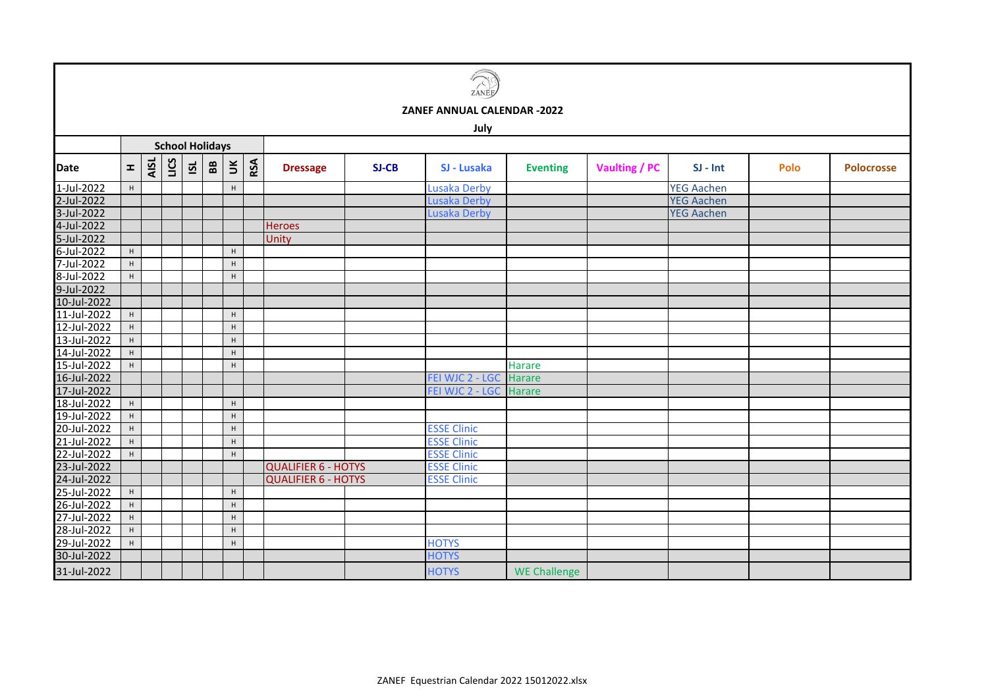| ιÉ<br>7<br>Ξ<br>r<br>г |
|------------------------|

## **July**

|             | <b>School Holidays</b> |      |      |                         |                   |        |     |                            |       |                     |                     |                      |                   |      |                   |
|-------------|------------------------|------|------|-------------------------|-------------------|--------|-----|----------------------------|-------|---------------------|---------------------|----------------------|-------------------|------|-------------------|
| <b>Date</b> | $\pm$                  | AISL | LICS | $\overline{\mathbf{S}}$ | ${\bf B} {\bf B}$ | $\leq$ | RSA | <b>Dressage</b>            | SJ-CB | SJ - Lusaka         | <b>Eventing</b>     | <b>Vaulting / PC</b> | $SI - Int$        | Polo | <b>Polocrosse</b> |
| 1-Jul-2022  | H                      |      |      |                         |                   | H      |     |                            |       | <b>Lusaka Derby</b> |                     |                      | <b>YEG Aachen</b> |      |                   |
| 2-Jul-2022  |                        |      |      |                         |                   |        |     |                            |       | <b>Lusaka Derby</b> |                     |                      | <b>YEG Aachen</b> |      |                   |
| 3-Jul-2022  |                        |      |      |                         |                   |        |     |                            |       | Lusaka Derby        |                     |                      | <b>YEG Aachen</b> |      |                   |
| 4-Jul-2022  |                        |      |      |                         |                   |        |     | <b>Heroes</b>              |       |                     |                     |                      |                   |      |                   |
| 5-Jul-2022  |                        |      |      |                         |                   |        |     | Unity                      |       |                     |                     |                      |                   |      |                   |
| 6-Jul-2022  | H                      |      |      |                         |                   | H      |     |                            |       |                     |                     |                      |                   |      |                   |
| 7-Jul-2022  | $\mathsf{H}^+$         |      |      |                         |                   | H      |     |                            |       |                     |                     |                      |                   |      |                   |
| 8-Jul-2022  | H                      |      |      |                         |                   | H      |     |                            |       |                     |                     |                      |                   |      |                   |
| 9-Jul-2022  |                        |      |      |                         |                   |        |     |                            |       |                     |                     |                      |                   |      |                   |
| 10-Jul-2022 |                        |      |      |                         |                   |        |     |                            |       |                     |                     |                      |                   |      |                   |
| 11-Jul-2022 | H                      |      |      |                         |                   | H      |     |                            |       |                     |                     |                      |                   |      |                   |
| 12-Jul-2022 | H                      |      |      |                         |                   | H      |     |                            |       |                     |                     |                      |                   |      |                   |
| 13-Jul-2022 | H                      |      |      |                         |                   | H      |     |                            |       |                     |                     |                      |                   |      |                   |
| 14-Jul-2022 | H                      |      |      |                         |                   | H      |     |                            |       |                     |                     |                      |                   |      |                   |
| 15-Jul-2022 | H                      |      |      |                         |                   | H      |     |                            |       |                     | Harare              |                      |                   |      |                   |
| 16-Jul-2022 |                        |      |      |                         |                   |        |     |                            |       | FEI WJC 2 - LGC     | <b>Harare</b>       |                      |                   |      |                   |
| 17-Jul-2022 |                        |      |      |                         |                   |        |     |                            |       | FEI WJC 2 - LGC     | Harare              |                      |                   |      |                   |
| 18-Jul-2022 | $\mathsf H$            |      |      |                         |                   | H      |     |                            |       |                     |                     |                      |                   |      |                   |
| 19-Jul-2022 | H                      |      |      |                         |                   | H      |     |                            |       |                     |                     |                      |                   |      |                   |
| 20-Jul-2022 | $\mathsf{H}^-$         |      |      |                         |                   | H      |     |                            |       | <b>ESSE Clinic</b>  |                     |                      |                   |      |                   |
| 21-Jul-2022 | H                      |      |      |                         |                   | H      |     |                            |       | <b>ESSE Clinic</b>  |                     |                      |                   |      |                   |
| 22-Jul-2022 | H                      |      |      |                         |                   | H      |     |                            |       | <b>ESSE Clinic</b>  |                     |                      |                   |      |                   |
| 23-Jul-2022 |                        |      |      |                         |                   |        |     | <b>QUALIFIER 6 - HOTYS</b> |       | <b>ESSE Clinic</b>  |                     |                      |                   |      |                   |
| 24-Jul-2022 |                        |      |      |                         |                   |        |     | <b>QUALIFIER 6 - HOTYS</b> |       | <b>ESSE Clinic</b>  |                     |                      |                   |      |                   |
| 25-Jul-2022 | H                      |      |      |                         |                   | H      |     |                            |       |                     |                     |                      |                   |      |                   |
| 26-Jul-2022 | H                      |      |      |                         |                   | H      |     |                            |       |                     |                     |                      |                   |      |                   |
| 27-Jul-2022 | H                      |      |      |                         |                   | H      |     |                            |       |                     |                     |                      |                   |      |                   |
| 28-Jul-2022 | H                      |      |      |                         |                   | H      |     |                            |       |                     |                     |                      |                   |      |                   |
| 29-Jul-2022 | H                      |      |      |                         |                   | H      |     |                            |       | <b>HOTYS</b>        |                     |                      |                   |      |                   |
| 30-Jul-2022 |                        |      |      |                         |                   |        |     |                            |       | <b>HOTYS</b>        |                     |                      |                   |      |                   |
| 31-Jul-2022 |                        |      |      |                         |                   |        |     |                            |       | <b>HOTYS</b>        | <b>WE Challenge</b> |                      |                   |      |                   |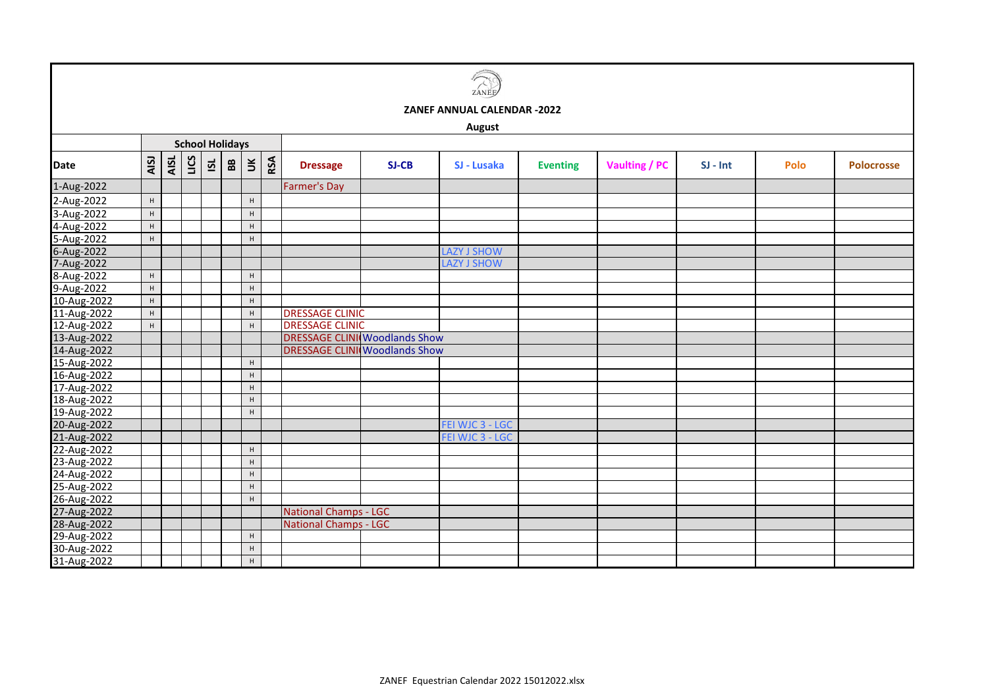

**August**

|             | <b>School Holidays</b> |      |      |                         |                   |             |     |                                       |       |                    |                 |                      |            |      |                   |
|-------------|------------------------|------|------|-------------------------|-------------------|-------------|-----|---------------------------------------|-------|--------------------|-----------------|----------------------|------------|------|-------------------|
| <b>Date</b> | AISJ                   | AISL | LICS | $\overline{\mathbf{S}}$ | ${\bf B} {\bf B}$ | $\preceq$   | RSA | <b>Dressage</b>                       | SJ-CB | SJ - Lusaka        | <b>Eventing</b> | <b>Vaulting / PC</b> | $SI - Int$ | Polo | <b>Polocrosse</b> |
| 1-Aug-2022  |                        |      |      |                         |                   |             |     | <b>Farmer's Day</b>                   |       |                    |                 |                      |            |      |                   |
| 2-Aug-2022  | H                      |      |      |                         |                   | H           |     |                                       |       |                    |                 |                      |            |      |                   |
| 3-Aug-2022  | $\mathsf H$            |      |      |                         |                   | H           |     |                                       |       |                    |                 |                      |            |      |                   |
| 4-Aug-2022  | $\mathsf H$            |      |      |                         |                   | H           |     |                                       |       |                    |                 |                      |            |      |                   |
| 5-Aug-2022  | H                      |      |      |                         |                   | н           |     |                                       |       |                    |                 |                      |            |      |                   |
| 6-Aug-2022  |                        |      |      |                         |                   |             |     |                                       |       | <b>LAZY J SHOW</b> |                 |                      |            |      |                   |
| 7-Aug-2022  |                        |      |      |                         |                   |             |     |                                       |       | <b>LAZY J SHOW</b> |                 |                      |            |      |                   |
| 8-Aug-2022  | $\mathsf H$            |      |      |                         |                   | H           |     |                                       |       |                    |                 |                      |            |      |                   |
| 9-Aug-2022  | $\mathsf H$            |      |      |                         |                   | H           |     |                                       |       |                    |                 |                      |            |      |                   |
| 10-Aug-2022 | $\mathsf H$            |      |      |                         |                   | H           |     |                                       |       |                    |                 |                      |            |      |                   |
| 11-Aug-2022 | $\mathsf H$            |      |      |                         |                   | $\mathsf H$ |     | <b>DRESSAGE CLINIC</b>                |       |                    |                 |                      |            |      |                   |
| 12-Aug-2022 | H                      |      |      |                         |                   | H           |     | <b>DRESSAGE CLINIC</b>                |       |                    |                 |                      |            |      |                   |
| 13-Aug-2022 |                        |      |      |                         |                   |             |     | <b>DRESSAGE CLINII Woodlands Show</b> |       |                    |                 |                      |            |      |                   |
| 14-Aug-2022 |                        |      |      |                         |                   |             |     | <b>DRESSAGE CLINI Woodlands Show</b>  |       |                    |                 |                      |            |      |                   |
| 15-Aug-2022 |                        |      |      |                         |                   | н           |     |                                       |       |                    |                 |                      |            |      |                   |
| 16-Aug-2022 |                        |      |      |                         |                   | H           |     |                                       |       |                    |                 |                      |            |      |                   |
| 17-Aug-2022 |                        |      |      |                         |                   | H           |     |                                       |       |                    |                 |                      |            |      |                   |
| 18-Aug-2022 |                        |      |      |                         |                   | H           |     |                                       |       |                    |                 |                      |            |      |                   |
| 19-Aug-2022 |                        |      |      |                         |                   | H           |     |                                       |       |                    |                 |                      |            |      |                   |
| 20-Aug-2022 |                        |      |      |                         |                   |             |     |                                       |       | FEI WJC 3 - LGC    |                 |                      |            |      |                   |
| 21-Aug-2022 |                        |      |      |                         |                   |             |     |                                       |       | FEI WJC 3 - LGC    |                 |                      |            |      |                   |
| 22-Aug-2022 |                        |      |      |                         |                   | H           |     |                                       |       |                    |                 |                      |            |      |                   |
| 23-Aug-2022 |                        |      |      |                         |                   | H           |     |                                       |       |                    |                 |                      |            |      |                   |
| 24-Aug-2022 |                        |      |      |                         |                   | H           |     |                                       |       |                    |                 |                      |            |      |                   |
| 25-Aug-2022 |                        |      |      |                         |                   | H           |     |                                       |       |                    |                 |                      |            |      |                   |
| 26-Aug-2022 |                        |      |      |                         |                   | H           |     |                                       |       |                    |                 |                      |            |      |                   |
| 27-Aug-2022 |                        |      |      |                         |                   |             |     | <b>National Champs - LGC</b>          |       |                    |                 |                      |            |      |                   |
| 28-Aug-2022 |                        |      |      |                         |                   |             |     | <b>National Champs - LGC</b>          |       |                    |                 |                      |            |      |                   |
| 29-Aug-2022 |                        |      |      |                         |                   | H           |     |                                       |       |                    |                 |                      |            |      |                   |
| 30-Aug-2022 |                        |      |      |                         |                   | H           |     |                                       |       |                    |                 |                      |            |      |                   |
| 31-Aug-2022 |                        |      |      |                         |                   | H           |     |                                       |       |                    |                 |                      |            |      |                   |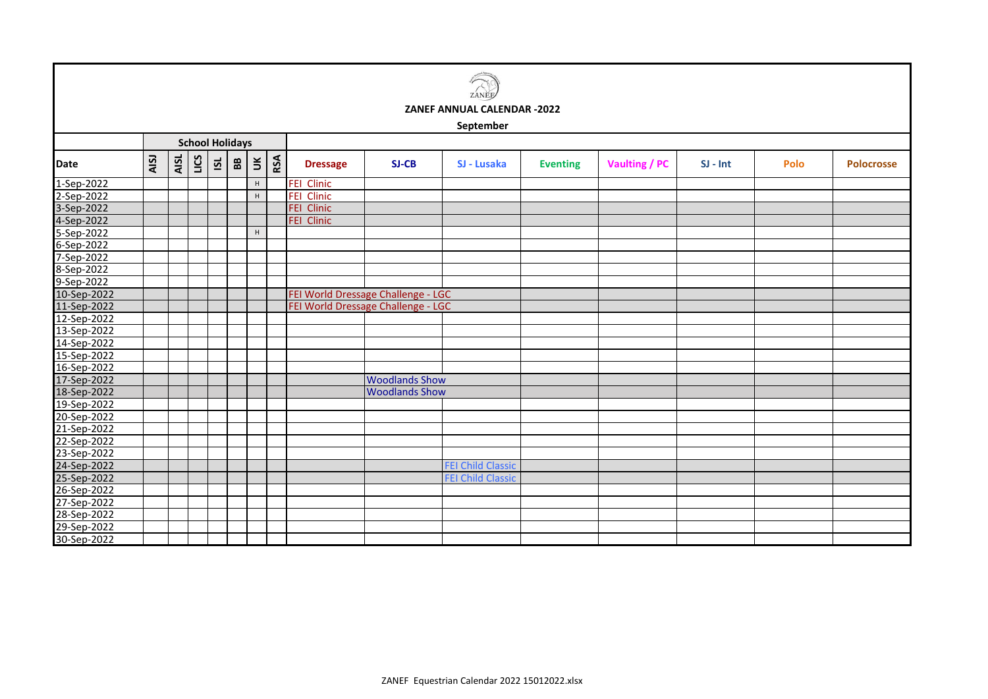| 7 <sub>A</sub><br>VÊ. |
|-----------------------|

**September**

|             | <b>School Holidays</b> |      |      |          |                   |                           |     |                   |                                    |                          |                 |                      |            |      |                   |
|-------------|------------------------|------|------|----------|-------------------|---------------------------|-----|-------------------|------------------------------------|--------------------------|-----------------|----------------------|------------|------|-------------------|
| <b>Date</b> | AISJ                   | AISL | LICS | <u>ଗ</u> | ${\bf B} {\bf B}$ | $\check{a}$               | RSA | <b>Dressage</b>   | SJ-CB                              | SJ - Lusaka              | <b>Eventing</b> | <b>Vaulting / PC</b> | $SI - Int$ | Polo | <b>Polocrosse</b> |
| 1-Sep-2022  |                        |      |      |          |                   | H                         |     | <b>FEI Clinic</b> |                                    |                          |                 |                      |            |      |                   |
| 2-Sep-2022  |                        |      |      |          |                   | H                         |     | <b>FEI Clinic</b> |                                    |                          |                 |                      |            |      |                   |
| 3-Sep-2022  |                        |      |      |          |                   |                           |     | FEI Clinic        |                                    |                          |                 |                      |            |      |                   |
| 4-Sep-2022  |                        |      |      |          |                   |                           |     | FEI Clinic        |                                    |                          |                 |                      |            |      |                   |
| 5-Sep-2022  |                        |      |      |          |                   | $\boldsymbol{\mathsf{H}}$ |     |                   |                                    |                          |                 |                      |            |      |                   |
| 6-Sep-2022  |                        |      |      |          |                   |                           |     |                   |                                    |                          |                 |                      |            |      |                   |
| 7-Sep-2022  |                        |      |      |          |                   |                           |     |                   |                                    |                          |                 |                      |            |      |                   |
| 8-Sep-2022  |                        |      |      |          |                   |                           |     |                   |                                    |                          |                 |                      |            |      |                   |
| 9-Sep-2022  |                        |      |      |          |                   |                           |     |                   |                                    |                          |                 |                      |            |      |                   |
| 10-Sep-2022 |                        |      |      |          |                   |                           |     |                   | FEI World Dressage Challenge - LGC |                          |                 |                      |            |      |                   |
| 11-Sep-2022 |                        |      |      |          |                   |                           |     |                   | FEI World Dressage Challenge - LGC |                          |                 |                      |            |      |                   |
| 12-Sep-2022 |                        |      |      |          |                   |                           |     |                   |                                    |                          |                 |                      |            |      |                   |
| 13-Sep-2022 |                        |      |      |          |                   |                           |     |                   |                                    |                          |                 |                      |            |      |                   |
| 14-Sep-2022 |                        |      |      |          |                   |                           |     |                   |                                    |                          |                 |                      |            |      |                   |
| 15-Sep-2022 |                        |      |      |          |                   |                           |     |                   |                                    |                          |                 |                      |            |      |                   |
| 16-Sep-2022 |                        |      |      |          |                   |                           |     |                   |                                    |                          |                 |                      |            |      |                   |
| 17-Sep-2022 |                        |      |      |          |                   |                           |     |                   | <b>Woodlands Show</b>              |                          |                 |                      |            |      |                   |
| 18-Sep-2022 |                        |      |      |          |                   |                           |     |                   | <b>Woodlands Show</b>              |                          |                 |                      |            |      |                   |
| 19-Sep-2022 |                        |      |      |          |                   |                           |     |                   |                                    |                          |                 |                      |            |      |                   |
| 20-Sep-2022 |                        |      |      |          |                   |                           |     |                   |                                    |                          |                 |                      |            |      |                   |
| 21-Sep-2022 |                        |      |      |          |                   |                           |     |                   |                                    |                          |                 |                      |            |      |                   |
| 22-Sep-2022 |                        |      |      |          |                   |                           |     |                   |                                    |                          |                 |                      |            |      |                   |
| 23-Sep-2022 |                        |      |      |          |                   |                           |     |                   |                                    |                          |                 |                      |            |      |                   |
| 24-Sep-2022 |                        |      |      |          |                   |                           |     |                   |                                    | <b>FEI Child Classic</b> |                 |                      |            |      |                   |
| 25-Sep-2022 |                        |      |      |          |                   |                           |     |                   |                                    | <b>FEI Child Classic</b> |                 |                      |            |      |                   |
| 26-Sep-2022 |                        |      |      |          |                   |                           |     |                   |                                    |                          |                 |                      |            |      |                   |
| 27-Sep-2022 |                        |      |      |          |                   |                           |     |                   |                                    |                          |                 |                      |            |      |                   |
| 28-Sep-2022 |                        |      |      |          |                   |                           |     |                   |                                    |                          |                 |                      |            |      |                   |
| 29-Sep-2022 |                        |      |      |          |                   |                           |     |                   |                                    |                          |                 |                      |            |      |                   |
| 30-Sep-2022 |                        |      |      |          |                   |                           |     |                   |                                    |                          |                 |                      |            |      |                   |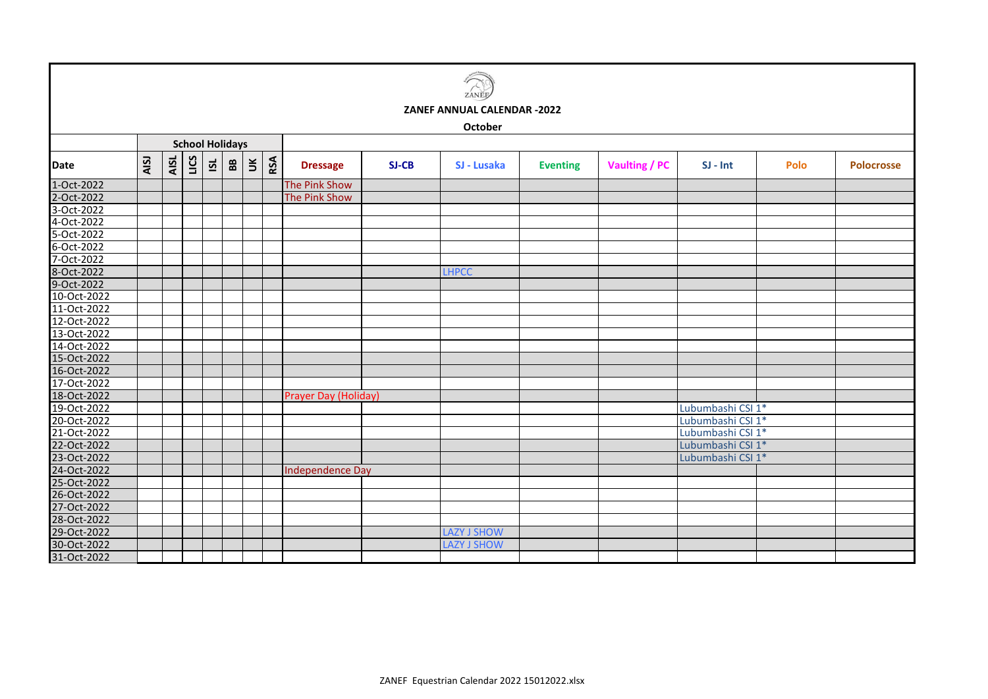|             |      |      |      |                         |                        |                      |     |                         |       | ZANĚI                              |                 |               |                   |      |                   |
|-------------|------|------|------|-------------------------|------------------------|----------------------|-----|-------------------------|-------|------------------------------------|-----------------|---------------|-------------------|------|-------------------|
|             |      |      |      |                         |                        |                      |     |                         |       | <b>ZANEF ANNUAL CALENDAR -2022</b> |                 |               |                   |      |                   |
|             |      |      |      |                         |                        |                      |     |                         |       | October                            |                 |               |                   |      |                   |
|             |      |      |      |                         | <b>School Holidays</b> |                      |     |                         |       |                                    |                 |               |                   |      |                   |
| Date        | AISJ | AISL | LICS | $\overline{\mathbf{S}}$ | 88                     | $\check{\mathbf{z}}$ | RSA | <b>Dressage</b>         | SJ-CB | SJ - Lusaka                        | <b>Eventing</b> | Vaulting / PC | $SI - Int$        | Polo | <b>Polocrosse</b> |
| 1-Oct-2022  |      |      |      |                         |                        |                      |     | The Pink Show           |       |                                    |                 |               |                   |      |                   |
| 2-Oct-2022  |      |      |      |                         |                        |                      |     | The Pink Show           |       |                                    |                 |               |                   |      |                   |
| 3-Oct-2022  |      |      |      |                         |                        |                      |     |                         |       |                                    |                 |               |                   |      |                   |
| 4-Oct-2022  |      |      |      |                         |                        |                      |     |                         |       |                                    |                 |               |                   |      |                   |
| 5-Oct-2022  |      |      |      |                         |                        |                      |     |                         |       |                                    |                 |               |                   |      |                   |
| 6-Oct-2022  |      |      |      |                         |                        |                      |     |                         |       |                                    |                 |               |                   |      |                   |
| 7-Oct-2022  |      |      |      |                         |                        |                      |     |                         |       |                                    |                 |               |                   |      |                   |
| 8-Oct-2022  |      |      |      |                         |                        |                      |     |                         |       | <b>LHPCC</b>                       |                 |               |                   |      |                   |
| 9-Oct-2022  |      |      |      |                         |                        |                      |     |                         |       |                                    |                 |               |                   |      |                   |
| 10-Oct-2022 |      |      |      |                         |                        |                      |     |                         |       |                                    |                 |               |                   |      |                   |
| 11-Oct-2022 |      |      |      |                         |                        |                      |     |                         |       |                                    |                 |               |                   |      |                   |
| 12-Oct-2022 |      |      |      |                         |                        |                      |     |                         |       |                                    |                 |               |                   |      |                   |
| 13-Oct-2022 |      |      |      |                         |                        |                      |     |                         |       |                                    |                 |               |                   |      |                   |
| 14-Oct-2022 |      |      |      |                         |                        |                      |     |                         |       |                                    |                 |               |                   |      |                   |
| 15-Oct-2022 |      |      |      |                         |                        |                      |     |                         |       |                                    |                 |               |                   |      |                   |
| 16-Oct-2022 |      |      |      |                         |                        |                      |     |                         |       |                                    |                 |               |                   |      |                   |
| 17-Oct-2022 |      |      |      |                         |                        |                      |     |                         |       |                                    |                 |               |                   |      |                   |
| 18-Oct-2022 |      |      |      |                         |                        |                      |     | Prayer Day (Holiday)    |       |                                    |                 |               |                   |      |                   |
| 19-Oct-2022 |      |      |      |                         |                        |                      |     |                         |       |                                    |                 |               | Lubumbashi CSI 1* |      |                   |
| 20-Oct-2022 |      |      |      |                         |                        |                      |     |                         |       |                                    |                 |               | Lubumbashi CSI 1* |      |                   |
| 21-Oct-2022 |      |      |      |                         |                        |                      |     |                         |       |                                    |                 |               | Lubumbashi CSI 1* |      |                   |
| 22-Oct-2022 |      |      |      |                         |                        |                      |     |                         |       |                                    |                 |               | Lubumbashi CSI 1* |      |                   |
| 23-Oct-2022 |      |      |      |                         |                        |                      |     |                         |       |                                    |                 |               | Lubumbashi CSI 1* |      |                   |
| 24-Oct-2022 |      |      |      |                         |                        |                      |     | <b>Independence Day</b> |       |                                    |                 |               |                   |      |                   |
| 25-Oct-2022 |      |      |      |                         |                        |                      |     |                         |       |                                    |                 |               |                   |      |                   |
| 26-Oct-2022 |      |      |      |                         |                        |                      |     |                         |       |                                    |                 |               |                   |      |                   |
| 27-Oct-2022 |      |      |      |                         |                        |                      |     |                         |       |                                    |                 |               |                   |      |                   |
| 28-Oct-2022 |      |      |      |                         |                        |                      |     |                         |       |                                    |                 |               |                   |      |                   |
| 29-Oct-2022 |      |      |      |                         |                        |                      |     |                         |       | <b>LAZY J SHOW</b>                 |                 |               |                   |      |                   |
| 30-Oct-2022 |      |      |      |                         |                        |                      |     |                         |       | <b>LAZY J SHOW</b>                 |                 |               |                   |      |                   |
| 31-Oct-2022 |      |      |      |                         |                        |                      |     |                         |       |                                    |                 |               |                   |      |                   |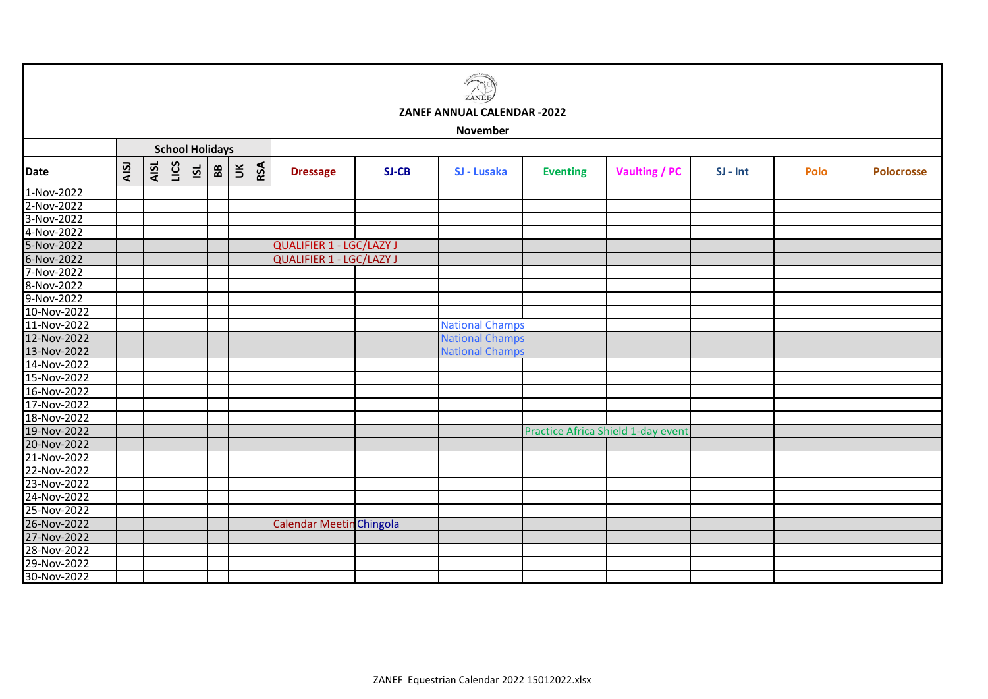| ZANEE<br>ZANEF ANNUAL CALENDAR -2022<br><b>November</b>                 |      |      |      |                 |              |        |     |  |                                 |              |                        |                 |                                    |            |      |                   |
|-------------------------------------------------------------------------|------|------|------|-----------------|--------------|--------|-----|--|---------------------------------|--------------|------------------------|-----------------|------------------------------------|------------|------|-------------------|
| <b>School Holidays</b>                                                  |      |      |      |                 |              |        |     |  |                                 |              |                        |                 |                                    |            |      |                   |
| <b>Date</b>                                                             | AISJ | AISL | LICS | $\overline{15}$ | $\mathbf{B}$ | $\leq$ | RSA |  | <b>Dressage</b>                 | <b>SJ-CB</b> | SJ - Lusaka            | <b>Eventing</b> | <b>Vaulting / PC</b>               | $SI - Int$ | Polo | <b>Polocrosse</b> |
| 1-Nov-2022                                                              |      |      |      |                 |              |        |     |  |                                 |              |                        |                 |                                    |            |      |                   |
| 2-Nov-2022                                                              |      |      |      |                 |              |        |     |  |                                 |              |                        |                 |                                    |            |      |                   |
| 3-Nov-2022                                                              |      |      |      |                 |              |        |     |  |                                 |              |                        |                 |                                    |            |      |                   |
| 4-Nov-2022                                                              |      |      |      |                 |              |        |     |  |                                 |              |                        |                 |                                    |            |      |                   |
| 5-Nov-2022                                                              |      |      |      |                 |              |        |     |  | <b>QUALIFIER 1 - LGC/LAZY J</b> |              |                        |                 |                                    |            |      |                   |
| 6-Nov-2022                                                              |      |      |      |                 |              |        |     |  | <b>QUALIFIER 1 - LGC/LAZY J</b> |              |                        |                 |                                    |            |      |                   |
| 7-Nov-2022                                                              |      |      |      |                 |              |        |     |  |                                 |              |                        |                 |                                    |            |      |                   |
| 8-Nov-2022<br>9-Nov-2022                                                |      |      |      |                 |              |        |     |  |                                 |              |                        |                 |                                    |            |      |                   |
|                                                                         |      |      |      |                 |              |        |     |  |                                 |              |                        |                 |                                    |            |      |                   |
| 10-Nov-2022                                                             |      |      |      |                 |              |        |     |  |                                 |              |                        |                 |                                    |            |      |                   |
| 11-Nov-2022                                                             |      |      |      |                 |              |        |     |  |                                 |              | <b>National Champs</b> |                 |                                    |            |      |                   |
| 12-Nov-2022                                                             |      |      |      |                 |              |        |     |  |                                 |              | <b>National Champs</b> |                 |                                    |            |      |                   |
| 13-Nov-2022                                                             |      |      |      |                 |              |        |     |  |                                 |              | <b>National Champs</b> |                 |                                    |            |      |                   |
| 14-Nov-2022                                                             |      |      |      |                 |              |        |     |  |                                 |              |                        |                 |                                    |            |      |                   |
| 15-Nov-2022                                                             |      |      |      |                 |              |        |     |  |                                 |              |                        |                 |                                    |            |      |                   |
| 16-Nov-2022                                                             |      |      |      |                 |              |        |     |  |                                 |              |                        |                 |                                    |            |      |                   |
|                                                                         |      |      |      |                 |              |        |     |  |                                 |              |                        |                 |                                    |            |      |                   |
|                                                                         |      |      |      |                 |              |        |     |  |                                 |              |                        |                 |                                    |            |      |                   |
|                                                                         |      |      |      |                 |              |        |     |  |                                 |              |                        |                 | Practice Africa Shield 1-day event |            |      |                   |
| 17-Nov-2022<br>17-Nov-2022<br>18-Nov-2022<br>19-Nov-2022                |      |      |      |                 |              |        |     |  |                                 |              |                        |                 |                                    |            |      |                   |
| 21-Nov-2022                                                             |      |      |      |                 |              |        |     |  |                                 |              |                        |                 |                                    |            |      |                   |
| 22-Nov-2022                                                             |      |      |      |                 |              |        |     |  |                                 |              |                        |                 |                                    |            |      |                   |
| 23-Nov-2022                                                             |      |      |      |                 |              |        |     |  |                                 |              |                        |                 |                                    |            |      |                   |
| 24-Nov-2022                                                             |      |      |      |                 |              |        |     |  |                                 |              |                        |                 |                                    |            |      |                   |
|                                                                         |      |      |      |                 |              |        |     |  |                                 |              |                        |                 |                                    |            |      |                   |
|                                                                         |      |      |      |                 |              |        |     |  | <b>Calendar Meetin Chingola</b> |              |                        |                 |                                    |            |      |                   |
|                                                                         |      |      |      |                 |              |        |     |  |                                 |              |                        |                 |                                    |            |      |                   |
|                                                                         |      |      |      |                 |              |        |     |  |                                 |              |                        |                 |                                    |            |      |                   |
| 25-Nov-2022<br>26-Nov-2022<br>26-Nov-2022<br>27-Nov-2022<br>28-Nov-2022 |      |      |      |                 |              |        |     |  |                                 |              |                        |                 |                                    |            |      |                   |
| 30-Nov-2022                                                             |      |      |      |                 |              |        |     |  |                                 |              |                        |                 |                                    |            |      |                   |